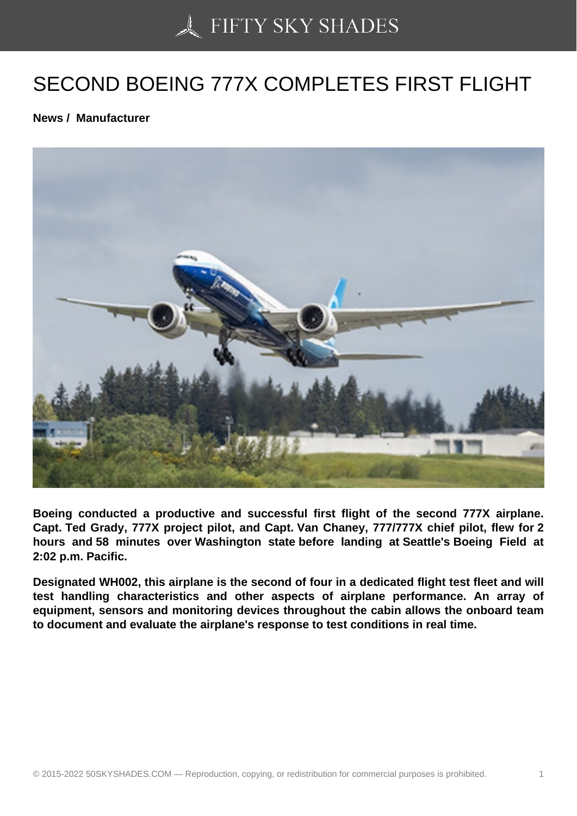## [SECOND BOEING 777](https://50skyshades.com)X COMPLETES FIRST FLIGHT

News / Manufacturer

Boeing conducted a productive and successful first flight of the second 777X airplane. Capt. Ted Grady, 777X project pilot, and Capt. Van Chaney, 777/777X chief pilot, flew for 2 hours and 58 minutes over Washington state before landing at Seattle's Boeing Field at 2:02 p.m. Pacific.

Designated WH002, this airplane is the second of four in a dedicated flight test fleet and will test handling characteristics and other aspects of airplane performance. An array of equipment, sensors and monitoring devices throughout the cabin allows the onboard team to document and evaluate the airplane's response to test conditions in real time.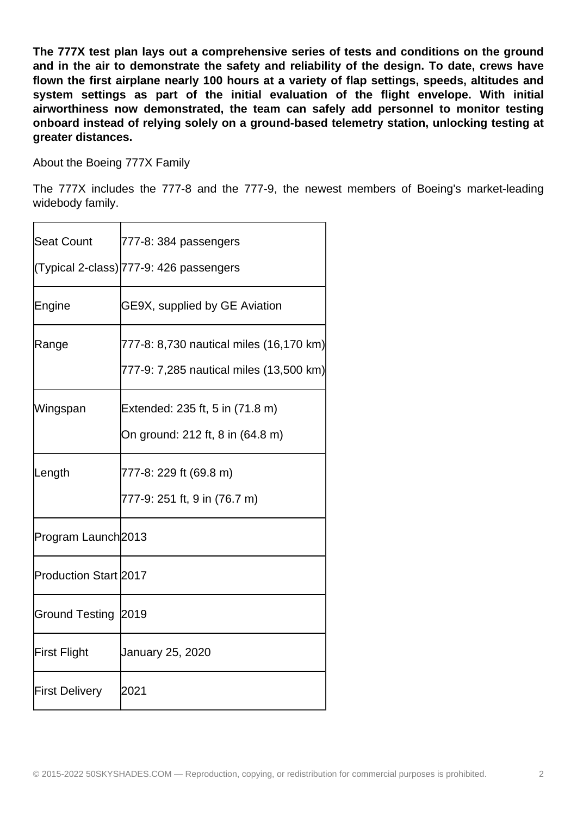**The 777X test plan lays out a comprehensive series of tests and conditions on the ground and in the air to demonstrate the safety and reliability of the design. To date, crews have flown the first airplane nearly 100 hours at a variety of flap settings, speeds, altitudes and system settings as part of the initial evaluation of the flight envelope. With initial airworthiness now demonstrated, the team can safely add personnel to monitor testing onboard instead of relying solely on a ground-based telemetry station, unlocking testing at greater distances.**

About the Boeing 777X Family

The 777X includes the 777-8 and the 777-9, the newest members of Boeing's market-leading widebody family.

| <b>Seat Count</b>            | 777-8: 384 passengers<br>(Typical 2-class) 777-9: 426 passengers                   |
|------------------------------|------------------------------------------------------------------------------------|
| Engine                       | GE9X, supplied by GE Aviation                                                      |
| Range                        | 777-8: 8,730 nautical miles (16,170 km)<br>777-9: 7,285 nautical miles (13,500 km) |
| Wingspan                     | Extended: 235 ft, 5 in (71.8 m)<br>On ground: 212 ft, 8 in (64.8 m)                |
| Length                       | 777-8: 229 ft (69.8 m)<br>777-9: 251 ft, 9 in (76.7 m)                             |
| Program Launch2013           |                                                                                    |
| <b>Production Start 2017</b> |                                                                                    |
| Ground Testing 2019          |                                                                                    |
| <b>First Flight</b>          | January 25, 2020                                                                   |
| <b>First Delivery</b>        | 2021                                                                               |